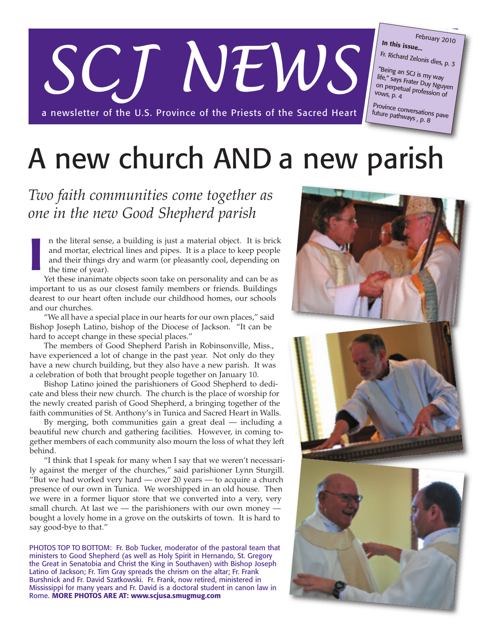# *SCJ NEWS*

a newsletter of the U.S. Province of the Priests of the Sacred Heart

#### **In this issue...** February 2010

Fr. Richard Zelonis dies, p. 3

"Being an SCJ is my way life," says Frater Duy Nguyen<br>on perpetual profession of<br>vows. n 4 on perpetual profession of<br>vows, p. 4

Province conversations pave future pathways , p. 8

# A new church AND a new parish

# *Two faith communities come together as one in the new Good Shepherd parish*

n the literal sense, a building is just a material object. It is brick and mortar, electrical lines and pipes. It is a place to keep people and their things dry and warm (or pleasantly cool, depending on the time of year).

Yet these inanimate objects soon take on personality and can be as important to us as our closest family members or friends. Buildings dearest to our heart often include our childhood homes, our schools and our churches. **I**

"We all have a special place in our hearts for our own places," said Bishop Joseph Latino, bishop of the Diocese of Jackson. "It can be hard to accept change in these special places."

The members of Good Shepherd Parish in Robinsonville, Miss., have experienced a lot of change in the past year. Not only do they have a new church building, but they also have a new parish. It was a celebration of both that brought people together on January 10.

Bishop Latino joined the parishioners of Good Shepherd to dedicate and bless their new church. The church is the place of worship for the newly created parish of Good Shepherd, a bringing together of the faith communities of St. Anthony's in Tunica and Sacred Heart in Walls.

By merging, both communities gain a great deal  $-$  including a beautiful new church and gathering facilities. However, in coming together members of each community also mourn the loss of what they left behind.

"I think that I speak for many when I say that we weren't necessarily against the merger of the churches," said parishioner Lynn Sturgill. "But we had worked very hard  $-$  over 20 years  $-$  to acquire a church presence of our own in Tunica. We worshipped in an old house. Then we were in a former liquor store that we converted into a very, very small church. At last we  $-$  the parishioners with our own money  $$ bought a lovely home in a grove on the outskirts of town. It is hard to say good-bye to that."

PHOTOS TOP TO BOTTOM: Fr. Bob Tucker, moderator of the pastoral team that ministers to Good Shepherd (as well as Holy Spirit in Hernando, St. Gregory the Great in Senatobia and Christ the King in Southaven) with Bishop Joseph Latino of Jackson; Fr. Tim Gray spreads the chrism on the altar; Fr. Frank Burshnick and Fr. David Szatkowski. Fr. Frank, now retired, ministered in Mississippi for many years and Fr. David is a doctoral student in canon law in Rome. **MORE PHOTOS ARE AT: www.scjusa.smugmug.com**

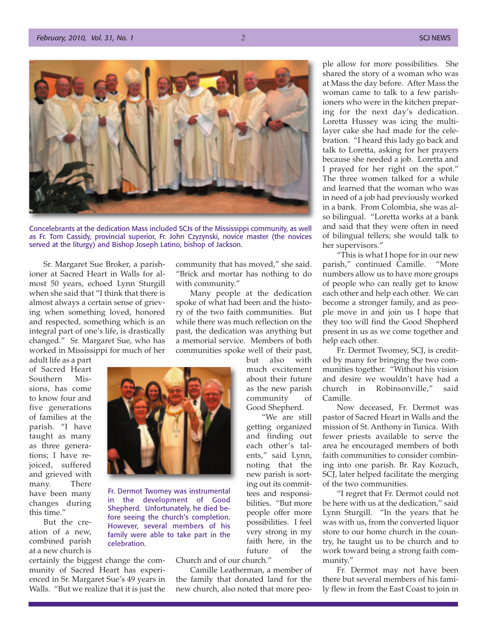

Concelebrants at the dedication Mass included SCJs of the Mississippi community, as well as Fr. Tom Cassidy, provincial superior, Fr. John Czyzynski, novice master (the novices served at the liturgy) and Bishop Joseph Latino, bishop of Jackson.

Sr. Margaret Sue Broker, a parishioner at Sacred Heart in Walls for almost 50 years, echoed Lynn Sturgill when she said that "I think that there is almost always a certain sense of grieving when something loved, honored and respected, something which is an integral part of one's life, is drastically changed." Sr. Margaret Sue, who has worked in Mississippi for much of her

adult life as a part of Sacred Heart Southern Missions, has come to know four and five generations of families at the parish. "I have taught as many as three generations; I have rejoiced, suffered and grieved with many. There have been many changes during this time."

But the creation of a new, combined parish at a new church is certainly the biggest change the com-

munity of Sacred Heart has experienced in Sr. Margaret Sue's 49 years in Walls. "But we realize that it is just the community that has moved," she said. "Brick and mortar has nothing to do with community."

Many people at the dedication spoke of what had been and the history of the two faith communities. But while there was much reflection on the past, the dedication was anything but a memorial service. Members of both communities spoke well of their past,

> but also with much excitement about their future as the new parish community of Good Shepherd.

"We are still getting organized and finding out each other's talents," said Lynn, noting that the new parish is sorting out its committees and responsibilities. "But more people offer more possibilities. I feel very strong in my faith here, in the future of the

Church and of our church."

Camille Leatherman, a member of the family that donated land for the new church, also noted that more people allow for more possibilities. She shared the story of a woman who was at Mass the day before. After Mass the woman came to talk to a few parishioners who were in the kitchen preparing for the next day's dedication. Loretta Hussey was icing the multilayer cake she had made for the celebration. "I heard this lady go back and talk to Loretta, asking for her prayers because she needed a job. Loretta and I prayed for her right on the spot." The three women talked for a while and learned that the woman who was in need of a job had previously worked in a bank. From Colombia, she was also bilingual. "Loretta works at a bank and said that they were often in need of bilingual tellers; she would talk to her supervisors."

"This is what I hope for in our new parish," continued Camille. "More numbers allow us to have more groups of people who can really get to know each other and help each other. We can become a stronger family, and as people move in and join us I hope that they too will find the Good Shepherd present in us as we come together and help each other.

Fr. Dermot Twomey, SCJ, is credited by many for bringing the two communities together. "Without his vision and desire we wouldn't have had a church in Robinsonville," said Camille.

Now deceased, Fr. Dermot was pastor of Sacred Heart in Walls and the mission of St. Anthony in Tunica. With fewer priests available to serve the area he encouraged members of both faith communities to consider combining into one parish. Br. Ray Kozuch, SCJ, later helped facilitate the merging of the two communities.

"I regret that Fr. Dermot could not be here with us at the dedication," said Lynn Sturgill. "In the years that he was with us, from the converted liquor store to our home church in the country, he taught us to be church and to work toward being a strong faith community."

Fr. Dermot may not have been there but several members of his family flew in from the East Coast to join in

![](_page_1_Picture_19.jpeg)

Fr. Dermot Twomey was instrumental in the development of Good Shepherd. Unfortunately, he died before seeing the church's completion. However, several members of his family were able to take part in the celebration.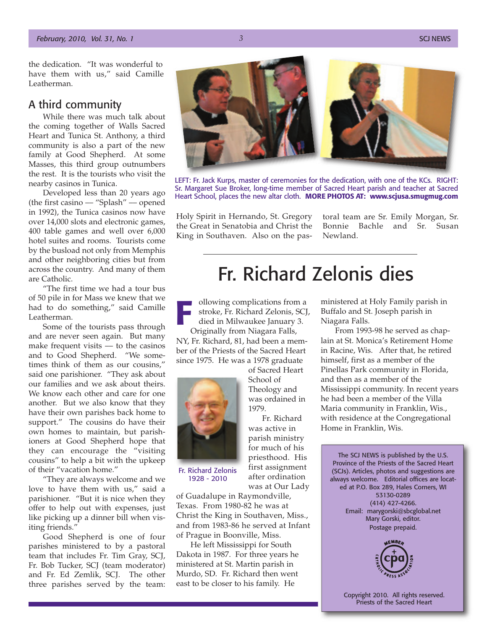the dedication. "It was wonderful to have them with us," said Camille Leatherman.

### A third community

While there was much talk about the coming together of Walls Sacred Heart and Tunica St. Anthony, a third community is also a part of the new family at Good Shepherd. At some Masses, this third group outnumbers the rest. It is the tourists who visit the nearby casinos in Tunica.

Developed less than 20 years ago (the first casino –– "Splash" –– opened in 1992), the Tunica casinos now have over 14,000 slots and electronic games, 400 table games and well over 6,000 hotel suites and rooms. Tourists come by the busload not only from Memphis and other neighboring cities but from across the country. And many of them are Catholic.

"The first time we had a tour bus of 50 pile in for Mass we knew that we had to do something," said Camille Leatherman.

Some of the tourists pass through and are never seen again. But many make frequent visits –– to the casinos and to Good Shepherd. "We sometimes think of them as our cousins," said one parishioner. "They ask about our families and we ask about theirs. We know each other and care for one another. But we also know that they have their own parishes back home to support." The cousins do have their own homes to maintain, but parishioners at Good Shepherd hope that they can encourage the "visiting cousins" to help a bit with the upkeep of their "vacation home."

"They are always welcome and we love to have them with us," said a parishioner. "But it is nice when they offer to help out with expenses, just like picking up a dinner bill when visiting friends."

Good Shepherd is one of four parishes ministered to by a pastoral team that includes Fr. Tim Gray, SCJ, Fr. Bob Tucker, SCJ (team moderator) and Fr. Ed Zemlik, SCJ. The other three parishes served by the team:

![](_page_2_Picture_10.jpeg)

LEFT: Fr. Jack Kurps, master of ceremonies for the dedication, with one of the KCs. RIGHT: Sr. Margaret Sue Broker, long-time member of Sacred Heart parish and teacher at Sacred Heart School, places the new altar cloth. **MORE PHOTOS AT: www.scjusa.smugmug.com**

Holy Spirit in Hernando, St. Gregory the Great in Senatobia and Christ the King in Southaven. Also on the pastoral team are Sr. Emily Morgan, Sr. Bonnie Bachle and Sr. Susan Newland.

# Fr. Richard Zelonis dies

ollowing complications from a stroke, Fr. Richard Zelonis, SCJ, died in Milwaukee January 3. Originally from Niagara Falls,

NY, Fr. Richard, 81, had been a member of the Priests of the Sacred Heart since 1975. He was a 1978 graduate of Sacred Heart **F**<br>**F**<br>**F**<br>**F**<br>**F**<br>**F**<br>**F**<br>**F** 

> School of Theology and was ordained in

Fr. Richard was active in parish ministry for much of his priesthood. His first assignment after ordination was at Our Lady

1979.

![](_page_2_Picture_17.jpeg)

Fr. Richard Zelonis 1928 - 2010

of Guadalupe in Raymondville, Texas. From 1980-82 he was at Christ the King in Southaven, Miss., and from 1983-86 he served at Infant of Prague in Boonville, Miss.

He left Mississippi for South Dakota in 1987. For three years he ministered at St. Martin parish in Murdo, SD. Fr. Richard then went east to be closer to his family. He

ministered at Holy Family parish in Buffalo and St. Joseph parish in Niagara Falls.

From 1993-98 he served as chaplain at St. Monica's Retirement Home in Racine, Wis. After that, he retired himself, first as a member of the Pinellas Park community in Florida, and then as a member of the Mississippi community. In recent years he had been a member of the Villa Maria community in Franklin, Wis., with residence at the Congregational Home in Franklin, Wis.

The SCJ NEWS is published by the U.S. Province of the Priests of the Sacred Heart (SCJs). Articles, photos and suggestions are always welcome. Editorial offices are located at P.O. Box 289, Hales Corners, WI 53130-0289 (414) 427-4266. Email: marygorski@sbcglobal.net Mary Gorski, editor. Postage prepaid.

![](_page_2_Picture_24.jpeg)

Copyright 2010. All rights reserved. Priests of the Sacred Heart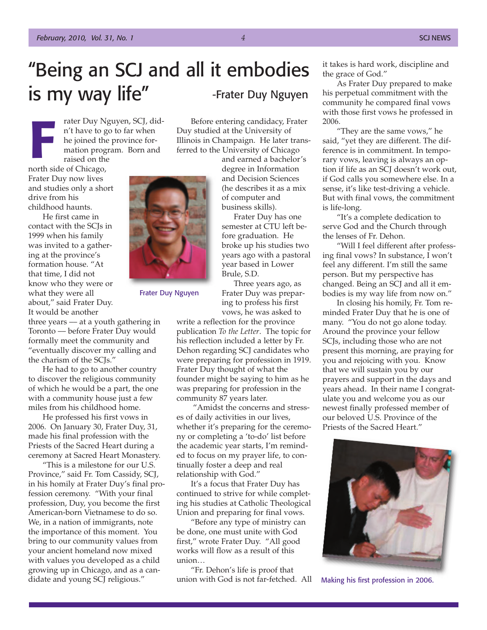# "Being an SCJ and all it embodies is my way life" -Frater Duy Nguyen

rater Duy Nguyen, SCJ, didn't have to go to far when he joined the province formation program. Born and raised on the

north side of Chicago, Frater Duy now lives and studies only a short drive from his childhood haunts. **Frater Let the Strater**<br>**Frater Let the Strater**<br>**France Strater**<br>**France Strate** 

He first came in contact with the SCJs in 1999 when his family was invited to a gathering at the province's formation house. "At that time, I did not know who they were or what they were all about," said Frater Duy. It would be another

three years –– at a youth gathering in Toronto –– before Frater Duy would formally meet the community and "eventually discover my calling and the charism of the SCJs."

He had to go to another country to discover the religious community of which he would be a part, the one with a community house just a few miles from his childhood home.

He professed his first vows in 2006. On January 30, Frater Duy, 31, made his final profession with the Priests of the Sacred Heart during a ceremony at Sacred Heart Monastery.

"This is a milestone for our U.S. Province," said Fr. Tom Cassidy, SCJ, in his homily at Frater Duy's final profession ceremony. "With your final profession, Duy, you become the first American-born Vietnamese to do so. We, in a nation of immigrants, note the importance of this moment. You bring to our community values from your ancient homeland now mixed with values you developed as a child growing up in Chicago, and as a candidate and young SCJ religious."

Before entering candidacy, Frater Duy studied at the University of Illinois in Champaign. He later transferred to the University of Chicago

and earned a bachelor's degree in Information and Decision Sciences (he describes it as a mix of computer and business skills).

Frater Duy has one semester at CTU left before graduation. He broke up his studies two years ago with a pastoral year based in Lower Brule, S.D.

Three years ago, as Frater Duy was preparing to profess his first

Frater Duy Nguyen

vows, he was asked to write a reflection for the province publication *To the Letter*. The topic for his reflection included a letter by Fr. Dehon regarding SCJ candidates who were preparing for profession in 1919. Frater Duy thought of what the founder might be saying to him as he was preparing for profession in the community 87 years later.

"Amidst the concerns and stresses of daily activities in our lives, whether it's preparing for the ceremony or completing a 'to-do' list before the academic year starts, I'm reminded to focus on my prayer life, to continually foster a deep and real relationship with God."

It's a focus that Frater Duy has continued to strive for while completing his studies at Catholic Theological Union and preparing for final vows.

"Before any type of ministry can be done, one must unite with God first," wrote Frater Duy. "All good works will flow as a result of this union…

"Fr. Dehon's life is proof that union with God is not far-fetched. All it takes is hard work, discipline and the grace of God."

As Frater Duy prepared to make his perpetual commitment with the community he compared final vows with those first vows he professed in 2006.

"They are the same vows," he said, "yet they are different. The difference is in commitment. In temporary vows, leaving is always an option if life as an SCI doesn't work out, if God calls you somewhere else. In a sense, it's like test-driving a vehicle. But with final vows, the commitment is life-long.

"It's a complete dedication to serve God and the Church through the lenses of Fr. Dehon.

"Will I feel different after professing final vows? In substance, I won't feel any different. I'm still the same person. But my perspective has changed. Being an SCJ and all it embodies is my way life from now on."

In closing his homily, Fr. Tom reminded Frater Duy that he is one of many. "You do not go alone today. Around the province your fellow SCJs, including those who are not present this morning, are praying for you and rejoicing with you. Know that we will sustain you by our prayers and support in the days and years ahead. In their name I congratulate you and welcome you as our newest finally professed member of our beloved U.S. Province of the Priests of the Sacred Heart."

![](_page_3_Picture_25.jpeg)

Making his first profession in 2006.

![](_page_3_Picture_27.jpeg)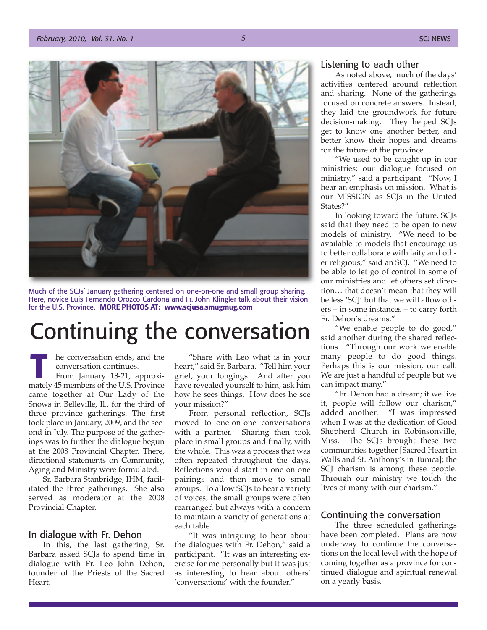![](_page_4_Picture_2.jpeg)

Much of the SCJs' January gathering centered on one-on-one and small group sharing. Here, novice Luis Fernando Orozco Cardona and Fr. John Klingler talk about their vision for the U.S. Province. **MORE PHOTOS AT: www.scjusa.smugmug.com**

# Continuing the conversation

he conversation ends, and the conversation continues. From January 18-21, approximately 45 members of the U.S. Province<br>came together at Our Lady of the<br>Snows in Belleville, II., for the third of came together at Our Lady of the Snows in Belleville, Il., for the third of three province gatherings. The first took place in January, 2009, and the second in July. The purpose of the gatherings was to further the dialogue begun at the 2008 Provincial Chapter. There, directional statements on Community, Aging and Ministry were formulated.

Sr. Barbara Stanbridge, IHM, facilitated the three gatherings. She also served as moderator at the 2008 Provincial Chapter.

#### In dialogue with Fr. Dehon

In this, the last gathering, Sr. Barbara asked SCJs to spend time in dialogue with Fr. Leo John Dehon, founder of the Priests of the Sacred Heart.

"Share with Leo what is in your heart," said Sr. Barbara. "Tell him your grief, your longings. And after you have revealed yourself to him, ask him how he sees things. How does he see your mission?"

From personal reflection, SCIs moved to one-on-one conversations with a partner. Sharing then took place in small groups and finally, with the whole. This was a process that was often repeated throughout the days. Reflections would start in one-on-one pairings and then move to small groups. To allow SCJs to hear a variety of voices, the small groups were often rearranged but always with a concern to maintain a variety of generations at each table.

"It was intriguing to hear about the dialogues with Fr. Dehon," said a participant. "It was an interesting exercise for me personally but it was just as interesting to hear about others' 'conversations' with the founder."

#### Listening to each other

As noted above, much of the days' activities centered around reflection and sharing. None of the gatherings focused on concrete answers. Instead, they laid the groundwork for future decision-making. They helped SCJs get to know one another better, and better know their hopes and dreams for the future of the province.

"We used to be caught up in our ministries; our dialogue focused on ministry," said a participant. "Now, I hear an emphasis on mission. What is our MISSION as SCJs in the United States?"

In looking toward the future, SCJs said that they need to be open to new models of ministry. "We need to be available to models that encourage us to better collaborate with laity and other religious," said an SCJ. "We need to be able to let go of control in some of our ministries and let others set direction… that doesn't mean that they will be less 'SCJ' but that we will allow others – in some instances – to carry forth Fr. Dehon's dreams."

"We enable people to do good," said another during the shared reflections. "Through our work we enable many people to do good things. Perhaps this is our mission, our call. We are just a handful of people but we can impact many."

"Fr. Dehon had a dream; if we live it, people will follow our charism," added another. "I was impressed when I was at the dedication of Good Shepherd Church in Robinsonville, Miss. The SCJs brought these two communities together [Sacred Heart in Walls and St. Anthony's in Tunica]; the SCJ charism is among these people. Through our ministry we touch the lives of many with our charism."

#### Continuing the conversation

The three scheduled gatherings have been completed. Plans are now underway to continue the conversations on the local level with the hope of coming together as a province for continued dialogue and spiritual renewal on a yearly basis.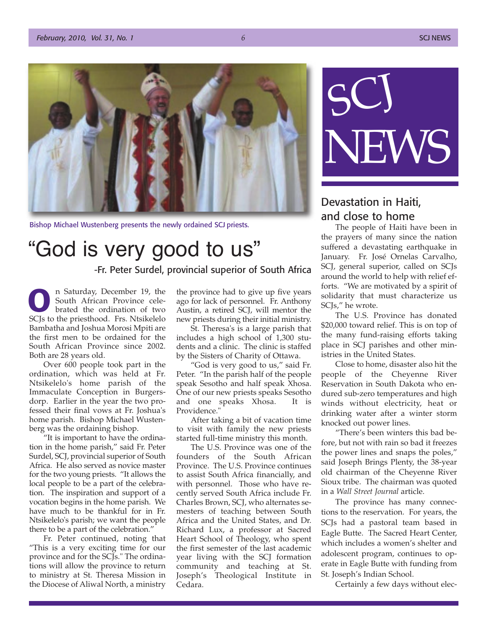![](_page_5_Picture_2.jpeg)

Bishop Michael Wustenberg presents the newly ordained SCJ priests.

# "God is very good to us"

-Fr. Peter Surdel, provincial superior of South Africa

n Saturday, December 19, the South African Province celebrated the ordination of two SCJs to the priesthood. Frs. Ntsikelelo<br>Bambatha and Joshua Morosi Mpiti are<br>the first men to be ordained for the Bambatha and Joshua Morosi Mpiti are the first men to be ordained for the South African Province since 2002. Both are 28 years old.

Over 600 people took part in the ordination, which was held at Fr. Ntsikelelo's home parish of the Immaculate Conception in Burgersdorp. Earlier in the year the two professed their final vows at Fr. Joshua's home parish. Bishop Michael Wustenberg was the ordaining bishop.

"It is important to have the ordination in the home parish," said Fr. Peter Surdel, SCJ, provincial superior of South Africa. He also served as novice master for the two young priests. "It allows the local people to be a part of the celebration. The inspiration and support of a vocation begins in the home parish. We have much to be thankful for in Fr. Ntsikelelo's parish; we want the people there to be a part of the celebration."

Fr. Peter continued, noting that "This is a very exciting time for our province and for the SCJs." The ordinations will allow the province to return to ministry at St. Theresa Mission in the Diocese of Aliwal North, a ministry

the province had to give up five years ago for lack of personnel. Fr. Anthony Austin, a retired SCJ, will mentor the new priests during their initial ministry.

St. Theresa's is a large parish that includes a high school of 1,300 students and a clinic. The clinic is staffed by the Sisters of Charity of Ottawa.

"God is very good to us," said Fr. Peter. "In the parish half of the people speak Sesotho and half speak Xhosa. One of our new priests speaks Sesotho and one speaks Xhosa. It is Providence."

After taking a bit of vacation time to visit with family the new priests started full-time ministry this month.

The U.S. Province was one of the founders of the South African Province. The U.S. Province continues to assist South Africa financially, and with personnel. Those who have recently served South Africa include Fr. Charles Brown, SCJ, who alternates semesters of teaching between South Africa and the United States, and Dr. Richard Lux, a professor at Sacred Heart School of Theology, who spent the first semester of the last academic year living with the SCJ formation community and teaching at St. Joseph's Theological Institute in Cedara.

![](_page_5_Picture_15.jpeg)

## Devastation in Haiti, and close to home

The people of Haiti have been in the prayers of many since the nation suffered a devastating earthquake in January. Fr. José Ornelas Carvalho, SCJ, general superior, called on SCJs around the world to help with relief efforts. "We are motivated by a spirit of solidarity that must characterize us SCJs," he wrote.

The U.S. Province has donated \$20,000 toward relief. This is on top of the many fund-raising efforts taking place in SCJ parishes and other ministries in the United States.

Close to home, disaster also hit the people of the Cheyenne River Reservation in South Dakota who endured sub-zero temperatures and high winds without electricity, heat or drinking water after a winter storm knocked out power lines.

"There's been winters this bad before, but not with rain so bad it freezes the power lines and snaps the poles," said Joseph Brings Plenty, the 38-year old chairman of the Cheyenne River Sioux tribe. The chairman was quoted in a *Wall Street Journal* article.

The province has many connections to the reservation. For years, the SCJs had a pastoral team based in Eagle Butte. The Sacred Heart Center, which includes a women's shelter and adolescent program, continues to operate in Eagle Butte with funding from St. Joseph's Indian School.

Certainly a few days without elec-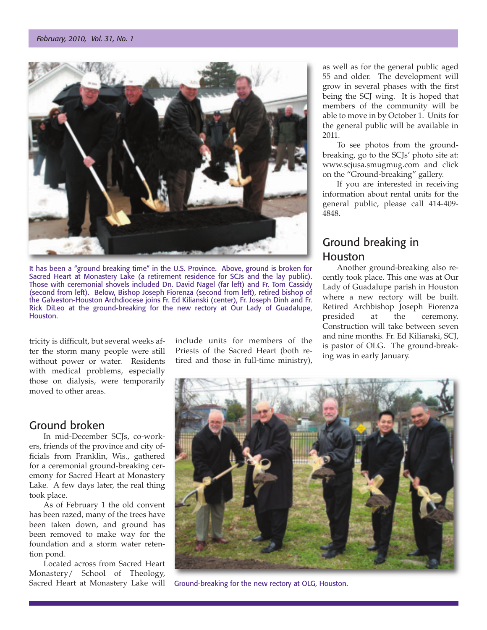![](_page_6_Picture_1.jpeg)

It has been a "ground breaking time" in the U.S. Province. Above, ground is broken for Sacred Heart at Monastery Lake (a retirement residence for SCJs and the lay public). Those with ceremonial shovels included Dn. David Nagel (far left) and Fr. Tom Cassidy (second from left). Below, Bishop Joseph Fiorenza (second from left), retired bishop of the Galveston-Houston Archdiocese joins Fr. Ed Kilianski (center), Fr. Joseph Dinh and Fr. Rick DiLeo at the ground-breaking for the new rectory at Our Lady of Guadalupe, Houston.

tricity is difficult, but several weeks after the storm many people were still without power or water. Residents with medical problems, especially those on dialysis, were temporarily moved to other areas.

## Ground broken

In mid-December SCJs, co-workers, friends of the province and city officials from Franklin, Wis., gathered for a ceremonial ground-breaking ceremony for Sacred Heart at Monastery Lake. A few days later, the real thing took place.

As of February 1 the old convent has been razed, many of the trees have been taken down, and ground has been removed to make way for the foundation and a storm water retention pond.

Located across from Sacred Heart Monastery/ School of Theology, Sacred Heart at Monastery Lake will include units for members of the Priests of the Sacred Heart (both retired and those in full-time ministry), as well as for the general public aged 55 and older. The development will grow in several phases with the first being the SCJ wing. It is hoped that members of the community will be able to move in by October 1. Units for the general public will be available in 2011.

To see photos from the groundbreaking, go to the SCJs' photo site at: www.scjusa.smugmug.com and click on the "Ground-breaking" gallery.

If you are interested in receiving information about rental units for the general public, please call 414-409- 4848.

# Ground breaking in Houston

Another ground-breaking also recently took place. This one was at Our Lady of Guadalupe parish in Houston where a new rectory will be built. Retired Archbishop Joseph Fiorenza presided at the ceremony. Construction will take between seven and nine months. Fr. Ed Kilianski, SCJ, is pastor of OLG. The ground-breaking was in early January.

![](_page_6_Picture_14.jpeg)

Ground-breaking for the new rectory at OLG, Houston.